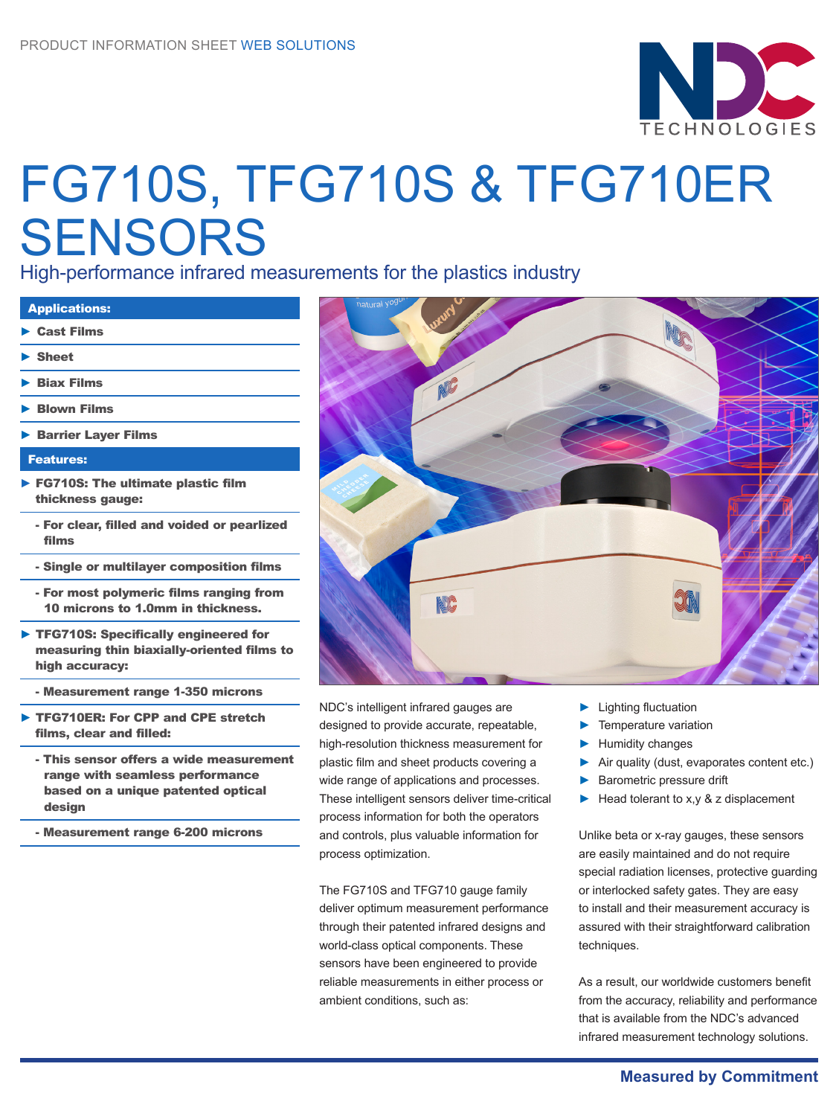

# FG710S, TFG710S & TFG710ER **SENSORS**

High-performance infrared measurements for the plastics industry

| <b>Applications:</b>                                                                                 |
|------------------------------------------------------------------------------------------------------|
| $\triangleright$ Cast Films                                                                          |
| $\blacktriangleright$ Sheet                                                                          |
| $\blacktriangleright$ Biax Films                                                                     |
| $\blacktriangleright$ Blown Films                                                                    |
| <b>Barrier Layer Films</b>                                                                           |
| <b>Features:</b>                                                                                     |
| $\triangleright$ FG710S: The ultimate plastic film<br>thickness gauge:                               |
| - For clear, filled and voided or pearlized<br>films                                                 |
| - Single or multilayer composition films                                                             |
| - For most polymeric films ranging from<br>10 microns to 1.0mm in thickness.                         |
| TFG710S: Specifically engineered for<br>measuring thin biaxially-oriented films to<br>high accuracy: |

- Measurement range 1-350 microns
- TFG710ER: For CPP and CPE stretch films, clear and filled:
	- This sensor offers a wide measurement range with seamless performance based on a unique patented optical design
	- Measurement range 6-200 microns



NDC's intelligent infrared gauges are designed to provide accurate, repeatable, high-resolution thickness measurement for plastic film and sheet products covering a wide range of applications and processes. These intelligent sensors deliver time-critical process information for both the operators and controls, plus valuable information for process optimization.

The FG710S and TFG710 gauge family deliver optimum measurement performance through their patented infrared designs and world-class optical components. These sensors have been engineered to provide reliable measurements in either process or ambient conditions, such as:

- ► Lighting fluctuation
- Temperature variation
- ► Humidity changes
- Air quality (dust, evaporates content etc.)
- Barometric pressure drift
- Head tolerant to x,  $y \& z$  displacement

Unlike beta or x-ray gauges, these sensors are easily maintained and do not require special radiation licenses, protective guarding or interlocked safety gates. They are easy to install and their measurement accuracy is assured with their straightforward calibration techniques.

As a result, our worldwide customers benefit from the accuracy, reliability and performance that is available from the NDC's advanced infrared measurement technology solutions.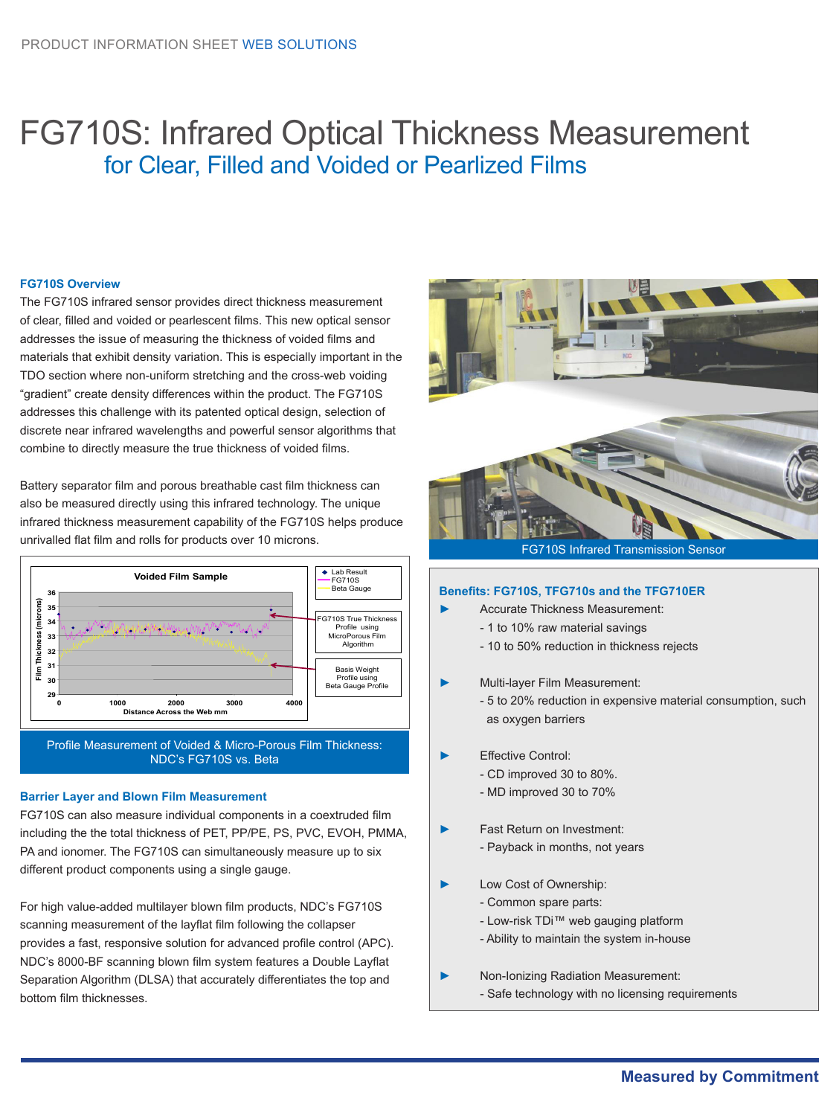### FG710S: Infrared Optical Thickness Measurement for Clear, Filled and Voided or Pearlized Films

### **FG710S Overview**

The FG710S infrared sensor provides direct thickness measurement of clear, filled and voided or pearlescent films. This new optical sensor addresses the issue of measuring the thickness of voided films and materials that exhibit density variation. This is especially important in the TDO section where non-uniform stretching and the cross-web voiding "gradient" create density differences within the product. The FG710S addresses this challenge with its patented optical design, selection of discrete near infrared wavelengths and powerful sensor algorithms that combine to directly measure the true thickness of voided films.

Battery separator film and porous breathable cast film thickness can also be measured directly using this infrared technology. The unique infrared thickness measurement capability of the FG710S helps produce unrivalled flat film and rolls for products over 10 microns.



### **Barrier Layer and Blown Film Measurement**

FG710S can also measure individual components in a coextruded film including the the total thickness of PET, PP/PE, PS, PVC, EVOH, PMMA, PA and ionomer. The FG710S can simultaneously measure up to six different product components using a single gauge.

For high value-added multilayer blown film products, NDC's FG710S scanning measurement of the layflat film following the collapser provides a fast, responsive solution for advanced profile control (APC). NDC's 8000-BF scanning blown film system features a Double Layflat Separation Algorithm (DLSA) that accurately differentiates the top and bottom film thicknesses.



FG710S Infrared Transmission Sensor

### **Benefits: FG710S, TFG710s and the TFG710ER**

- ► Accurate Thickness Measurement:
	- 1 to 10% raw material savings
	- 10 to 50% reduction in thickness rejects
- ► Multi-layer Film Measurement:
	- 5 to 20% reduction in expensive material consumption, such as oxygen barriers
- ► Effective Control:
	- CD improved 30 to 80%.
	- MD improved 30 to 70%
- Fast Return on Investment:
	- Payback in months, not years
- Low Cost of Ownership:
	- Common spare parts:
	- Low-risk TDi™ web gauging platform
	- Ability to maintain the system in-house
- ► Non-Ionizing Radiation Measurement: - Safe technology with no licensing requirements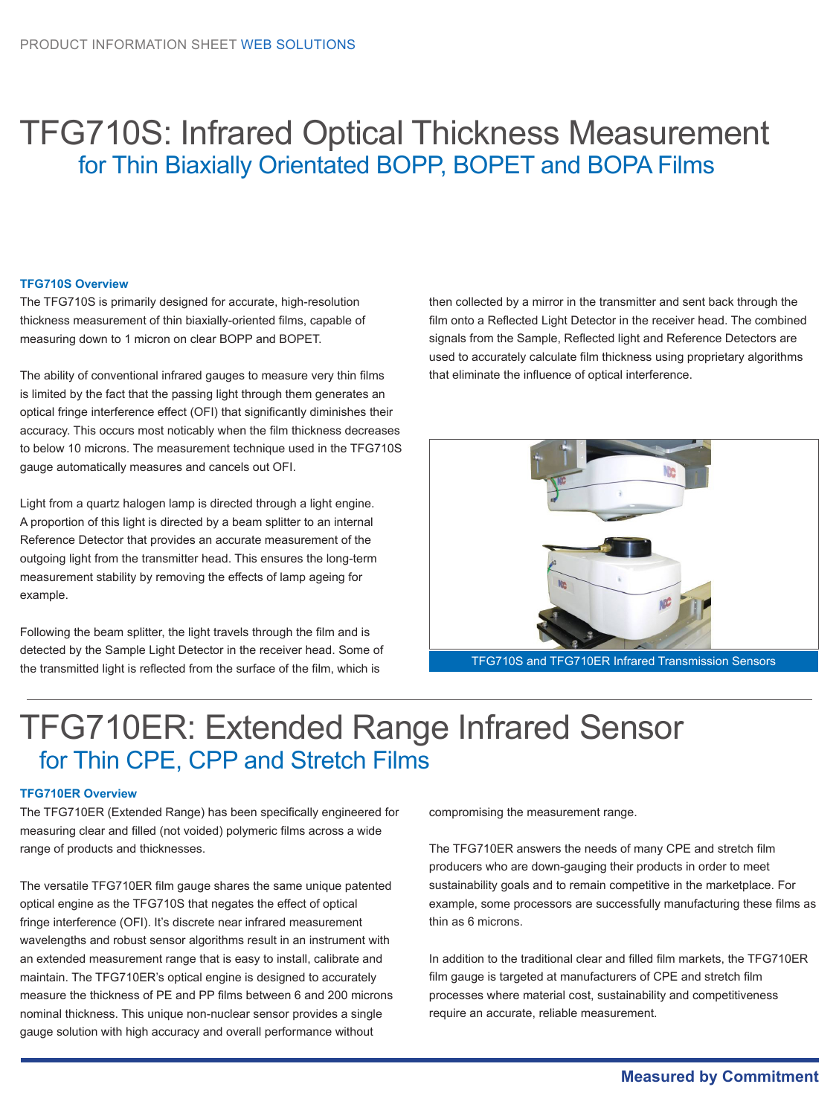### TFG710S: Infrared Optical Thickness Measurement for Thin Biaxially Orientated BOPP, BOPET and BOPA Films

#### **TFG710S Overview**

The TFG710S is primarily designed for accurate, high-resolution thickness measurement of thin biaxially-oriented films, capable of measuring down to 1 micron on clear BOPP and BOPET.

The ability of conventional infrared gauges to measure very thin films is limited by the fact that the passing light through them generates an optical fringe interference effect (OFI) that significantly diminishes their accuracy. This occurs most noticably when the film thickness decreases to below 10 microns. The measurement technique used in the TFG710S gauge automatically measures and cancels out OFI.

Light from a quartz halogen lamp is directed through a light engine. A proportion of this light is directed by a beam splitter to an internal Reference Detector that provides an accurate measurement of the outgoing light from the transmitter head. This ensures the long-term measurement stability by removing the effects of lamp ageing for example.

Following the beam splitter, the light travels through the film and is detected by the Sample Light Detector in the receiver head. Some of the transmitted light is reflected from the surface of the film, which is

then collected by a mirror in the transmitter and sent back through the film onto a Reflected Light Detector in the receiver head. The combined signals from the Sample, Reflected light and Reference Detectors are used to accurately calculate film thickness using proprietary algorithms that eliminate the influence of optical interference.



TFG710S and TFG710ER Infrared Transmission Sensors

### TFG710ER: Extended Range Infrared Sensor for Thin CPE, CPP and Stretch Films

#### **TFG710ER Overview**

The TFG710ER (Extended Range) has been specifically engineered for measuring clear and filled (not voided) polymeric films across a wide range of products and thicknesses.

The versatile TFG710ER film gauge shares the same unique patented optical engine as the TFG710S that negates the effect of optical fringe interference (OFI). It's discrete near infrared measurement wavelengths and robust sensor algorithms result in an instrument with an extended measurement range that is easy to install, calibrate and maintain. The TFG710ER's optical engine is designed to accurately measure the thickness of PE and PP films between 6 and 200 microns nominal thickness. This unique non-nuclear sensor provides a single gauge solution with high accuracy and overall performance without

compromising the measurement range.

The TFG710ER answers the needs of many CPE and stretch film producers who are down-gauging their products in order to meet sustainability goals and to remain competitive in the marketplace. For example, some processors are successfully manufacturing these films as thin as 6 microns.

In addition to the traditional clear and filled film markets, the TFG710ER film gauge is targeted at manufacturers of CPE and stretch film processes where material cost, sustainability and competitiveness require an accurate, reliable measurement.